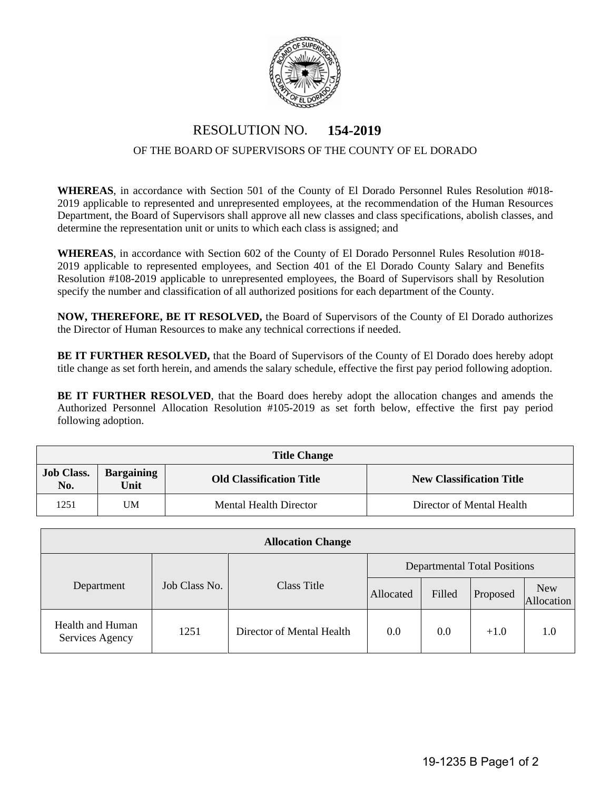

## RESOLUTION NO. **154-2019**

## OF THE BOARD OF SUPERVISORS OF THE COUNTY OF EL DORADO

**WHEREAS**, in accordance with Section 501 of the County of El Dorado Personnel Rules Resolution #018- 2019 applicable to represented and unrepresented employees, at the recommendation of the Human Resources Department, the Board of Supervisors shall approve all new classes and class specifications, abolish classes, and determine the representation unit or units to which each class is assigned; and

**WHEREAS**, in accordance with Section 602 of the County of El Dorado Personnel Rules Resolution #018- 2019 applicable to represented employees, and Section 401 of the El Dorado County Salary and Benefits Resolution #108-2019 applicable to unrepresented employees, the Board of Supervisors shall by Resolution specify the number and classification of all authorized positions for each department of the County.

**NOW, THEREFORE, BE IT RESOLVED,** the Board of Supervisors of the County of El Dorado authorizes the Director of Human Resources to make any technical corrections if needed.

**BE IT FURTHER RESOLVED,** that the Board of Supervisors of the County of El Dorado does hereby adopt title change as set forth herein, and amends the salary schedule, effective the first pay period following adoption.

**BE IT FURTHER RESOLVED**, that the Board does hereby adopt the allocation changes and amends the Authorized Personnel Allocation Resolution #105-2019 as set forth below, effective the first pay period following adoption.

| <b>Title Change</b>      |                           |                                 |                                 |  |  |  |  |  |
|--------------------------|---------------------------|---------------------------------|---------------------------------|--|--|--|--|--|
| <b>Job Class.</b><br>No. | <b>Bargaining</b><br>Unit | <b>Old Classification Title</b> | <b>New Classification Title</b> |  |  |  |  |  |
| 1251                     | UM                        | <b>Mental Health Director</b>   | Director of Mental Health       |  |  |  |  |  |

| <b>Allocation Change</b>            |               |                           |                                     |        |          |                          |  |  |  |
|-------------------------------------|---------------|---------------------------|-------------------------------------|--------|----------|--------------------------|--|--|--|
|                                     | Job Class No. | Class Title               | <b>Departmental Total Positions</b> |        |          |                          |  |  |  |
| Department                          |               |                           | Allocated                           | Filled | Proposed | <b>New</b><br>Allocation |  |  |  |
| Health and Human<br>Services Agency | 1251          | Director of Mental Health | 0.0                                 | 0.0    | $+1.0$   | 1.0                      |  |  |  |